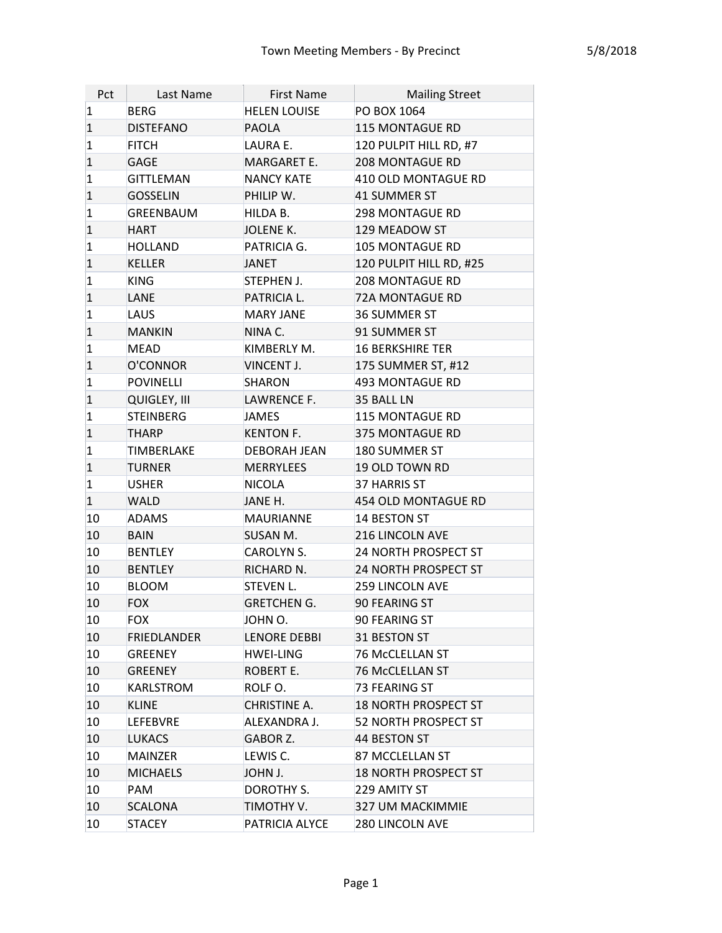| Pct          | Last Name          | <b>First Name</b>   | <b>Mailing Street</b>       |
|--------------|--------------------|---------------------|-----------------------------|
| $\mathbf{1}$ | BERG               | <b>HELEN LOUISE</b> | PO BOX 1064                 |
| $\mathbf{1}$ | <b>DISTEFANO</b>   | <b>PAOLA</b>        | <b>115 MONTAGUE RD</b>      |
| $\mathbf{1}$ | <b>FITCH</b>       | LAURA E.            | 120 PULPIT HILL RD, #7      |
| $\mathbf 1$  | <b>GAGE</b>        | MARGARET E.         | <b>208 MONTAGUE RD</b>      |
| 1            | <b>GITTLEMAN</b>   | <b>NANCY KATE</b>   | 410 OLD MONTAGUE RD         |
| $\mathbf 1$  | <b>GOSSELIN</b>    | PHILIP W.           | <b>41 SUMMER ST</b>         |
| 1            | <b>GREENBAUM</b>   | HILDA B.            | <b>298 MONTAGUE RD</b>      |
| $\mathbf{1}$ | <b>HART</b>        | <b>JOLENE K.</b>    | 129 MEADOW ST               |
| $\mathbf{1}$ | <b>HOLLAND</b>     | PATRICIA G.         | <b>105 MONTAGUE RD</b>      |
| 1            | <b>KELLER</b>      | <b>JANET</b>        | 120 PULPIT HILL RD, #25     |
| $\mathbf{1}$ | <b>KING</b>        | STEPHEN J.          | <b>208 MONTAGUE RD</b>      |
| $\mathbf{1}$ | LANE               | PATRICIA L.         | <b>72A MONTAGUE RD</b>      |
| $\mathbf 1$  | LAUS               | <b>MARY JANE</b>    | 36 SUMMER ST                |
| $\mathbf{1}$ | <b>MANKIN</b>      | NINA C.             | 91 SUMMER ST                |
| 1            | <b>MEAD</b>        | KIMBERLY M.         | <b>16 BERKSHIRE TER</b>     |
| $\mathbf{1}$ | O'CONNOR           | <b>VINCENT J.</b>   | 175 SUMMER ST, #12          |
| 1            | <b>POVINELLI</b>   | <b>SHARON</b>       | 493 MONTAGUE RD             |
| $\mathbf{1}$ | QUIGLEY, III       | LAWRENCE F.         | 35 BALL LN                  |
| $\mathbf 1$  | <b>STEINBERG</b>   | <b>JAMES</b>        | <b>115 MONTAGUE RD</b>      |
| $\mathbf 1$  | THARP              | <b>KENTON F.</b>    | 375 MONTAGUE RD             |
| $\mathbf{1}$ | TIMBERLAKE         | <b>DEBORAH JEAN</b> | 180 SUMMER ST               |
| $\mathbf{1}$ | <b>TURNER</b>      | <b>MERRYLEES</b>    | <b>19 OLD TOWN RD</b>       |
| 1            | <b>USHER</b>       | <b>NICOLA</b>       | 37 HARRIS ST                |
| 1            | WALD               | JANE H.             | 454 OLD MONTAGUE RD         |
| 10           | <b>ADAMS</b>       | <b>MAURIANNE</b>    | 14 BESTON ST                |
| 10           | <b>BAIN</b>        | SUSAN M.            | 216 LINCOLN AVE             |
| 10           | <b>BENTLEY</b>     | <b>CAROLYN S.</b>   | 24 NORTH PROSPECT ST        |
| 10           | <b>BENTLEY</b>     | RICHARD N.          | 24 NORTH PROSPECT ST        |
| 10           | <b>BLOOM</b>       | <b>STEVEN L.</b>    | <b>259 LINCOLN AVE</b>      |
| 10           | <b>FOX</b>         | <b>GRETCHEN G.</b>  | 90 FEARING ST               |
| 10           | FOX.               | JOHN O.             | 90 FEARING ST               |
| 10           | <b>FRIEDLANDER</b> | <b>LENORE DEBBI</b> | 31 BESTON ST                |
| 10           | GREENEY            | <b>HWEI-LING</b>    | <b>76 McCLELLAN ST</b>      |
| 10           | <b>GREENEY</b>     | ROBERT E.           | <b>76 McCLELLAN ST</b>      |
| 10           | KARLSTROM          | ROLF O.             | 73 FEARING ST               |
| 10           | KLINE              | CHRISTINE A.        | <b>18 NORTH PROSPECT ST</b> |
| 10           | <b>LEFEBVRE</b>    | ALEXANDRA J.        | 52 NORTH PROSPECT ST        |
| 10           | <b>LUKACS</b>      | GABOR Z.            | 44 BESTON ST                |
| 10           | <b>MAINZER</b>     | LEWIS C.            | <b>87 MCCLELLAN ST</b>      |
| 10           | <b>MICHAELS</b>    | JOHN J.             | <b>18 NORTH PROSPECT ST</b> |
| 10           | <b>PAM</b>         | DOROTHY S.          | 229 AMITY ST                |
| 10           | SCALONA            | TIMOTHY V.          | 327 UM MACKIMMIE            |
| 10           | <b>STACEY</b>      | PATRICIA ALYCE      | 280 LINCOLN AVE             |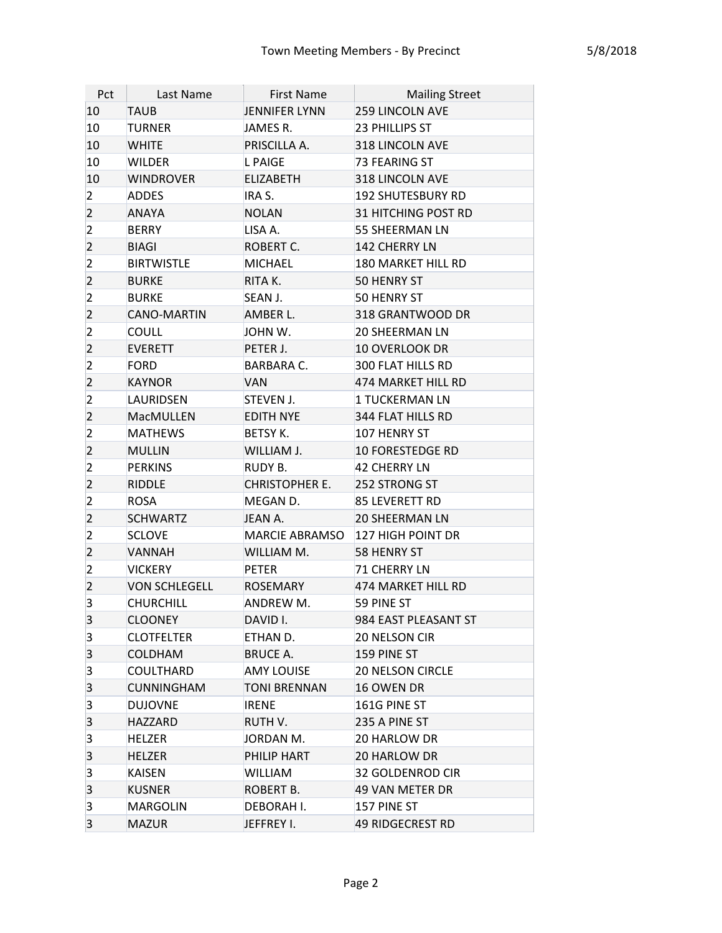| Pct                     | Last Name            | <b>First Name</b>     | <b>Mailing Street</b>      |
|-------------------------|----------------------|-----------------------|----------------------------|
| 10                      | TAUB                 | JENNIFER LYNN         | 259 LINCOLN AVE            |
| 10                      | TURNER               | JAMES R.              | <b>23 PHILLIPS ST</b>      |
| 10                      | <b>WHITE</b>         | PRISCILLA A.          | 318 LINCOLN AVE            |
| 10                      | <b>WILDER</b>        | <b>L PAIGE</b>        | 73 FEARING ST              |
| 10                      | <b>WINDROVER</b>     | <b>ELIZABETH</b>      | 318 LINCOLN AVE            |
| 2                       | ADDES                | IRA S.                | <b>192 SHUTESBURY RD</b>   |
| $\overline{2}$          | <b>ANAYA</b>         | <b>NOLAN</b>          | <b>31 HITCHING POST RD</b> |
| $\overline{2}$          | <b>BERRY</b>         | LISA A.               | 55 SHEERMAN LN             |
| $\overline{\mathbf{c}}$ | <b>BIAGI</b>         | ROBERT C.             | 142 CHERRY LN              |
| $\overline{\mathbf{c}}$ | <b>BIRTWISTLE</b>    | <b>MICHAEL</b>        | <b>180 MARKET HILL RD</b>  |
| $\overline{\mathbf{c}}$ | <b>BURKE</b>         | RITA K.               | 50 HENRY ST                |
| 2                       | <b>BURKE</b>         | SEAN J.               | <b>50 HENRY ST</b>         |
| $\overline{2}$          | <b>CANO-MARTIN</b>   | AMBER L.              | 318 GRANTWOOD DR           |
| $\overline{\mathbf{2}}$ | COULL                | JOHN W.               | <b>20 SHEERMAN LN</b>      |
| $\overline{c}$          | <b>EVERETT</b>       | PETER J.              | <b>10 OVERLOOK DR</b>      |
| $\overline{\mathbf{c}}$ | FORD                 | <b>BARBARA C.</b>     | <b>300 FLAT HILLS RD</b>   |
| $\overline{\mathbf{2}}$ | <b>KAYNOR</b>        | <b>VAN</b>            | 474 MARKET HILL RD         |
| $\overline{\mathbf{2}}$ | LAURIDSEN            | STEVEN J.             | 1 TUCKERMAN LN             |
| $\overline{\mathbf{c}}$ | <b>MacMULLEN</b>     | <b>EDITH NYE</b>      | 344 FLAT HILLS RD          |
| $\overline{\mathbf{c}}$ | <b>MATHEWS</b>       | <b>BETSY K.</b>       | 107 HENRY ST               |
| $\overline{\mathbf{c}}$ | <b>MULLIN</b>        | WILLIAM J.            | <b>10 FORESTEDGE RD</b>    |
| $\overline{\mathbf{2}}$ | <b>PERKINS</b>       | RUDY B.               | 42 CHERRY LN               |
| $\overline{\mathbf{c}}$ | <b>RIDDLE</b>        | <b>CHRISTOPHER E.</b> | 252 STRONG ST              |
| $\overline{\mathbf{2}}$ | <b>ROSA</b>          | MEGAN D.              | 85 LEVERETT RD             |
| $\overline{c}$          | <b>SCHWARTZ</b>      | JEAN A.               | <b>20 SHEERMAN LN</b>      |
| $\overline{\mathbf{c}}$ | <b>SCLOVE</b>        | <b>MARCIE ABRAMSO</b> | 127 HIGH POINT DR          |
| $\overline{\mathbf{2}}$ | <b>VANNAH</b>        | WILLIAM M.            | 58 HENRY ST                |
| $\overline{\mathbf{2}}$ | <b>VICKERY</b>       | <b>PETER</b>          | <b>71 CHERRY LN</b>        |
| $\overline{\mathbf{c}}$ | <b>VON SCHLEGELL</b> | <b>ROSEMARY</b>       | 474 MARKET HILL RD         |
| 3                       | <b>CHURCHILL</b>     | ANDREW M.             | 59 PINE ST                 |
| 3                       | <b>CLOONEY</b>       | DAVID I.              | 984 EAST PLEASANT ST       |
| 3                       | <b>CLOTFELTER</b>    | ETHAN D.              | 20 NELSON CIR              |
| 3                       | <b>COLDHAM</b>       | <b>BRUCE A.</b>       | 159 PINE ST                |
| 3                       | <b>COULTHARD</b>     | AMY LOUISE            | <b>20 NELSON CIRCLE</b>    |
| 3                       | <b>CUNNINGHAM</b>    | <b>TONI BRENNAN</b>   | 16 OWEN DR                 |
| 3                       | <b>DUJOVNE</b>       | <b>IRENE</b>          | 161G PINE ST               |
| 3                       | HAZZARD              | RUTH V.               | 235 A PINE ST              |
| 3                       | HELZER               | JORDAN M.             | 20 HARLOW DR               |
| 3                       | <b>HELZER</b>        | PHILIP HART           | 20 HARLOW DR               |
| 3                       | <b>KAISEN</b>        | <b>WILLIAM</b>        | 32 GOLDENROD CIR           |
| 3                       | <b>KUSNER</b>        | ROBERT B.             | 49 VAN METER DR            |
| 3                       | <b>MARGOLIN</b>      | DEBORAH I.            | 157 PINE ST                |
| 3                       | <b>MAZUR</b>         | JEFFREY I.            | <b>49 RIDGECREST RD</b>    |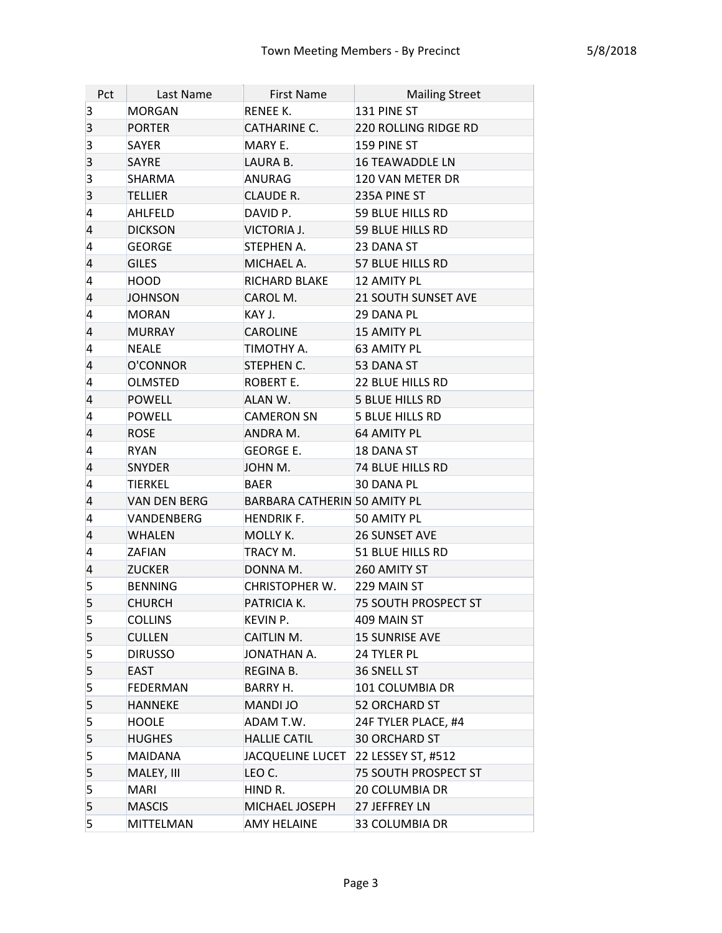| Pct                     | Last Name      | <b>First Name</b>                   | <b>Mailing Street</b>       |
|-------------------------|----------------|-------------------------------------|-----------------------------|
| 3                       | <b>MORGAN</b>  | <b>RENEE K.</b>                     | 131 PINE ST                 |
| 3                       | <b>PORTER</b>  | <b>CATHARINE C.</b>                 | 220 ROLLING RIDGE RD        |
| 3                       | SAYER          | MARY E.                             | 159 PINE ST                 |
| 3                       | <b>SAYRE</b>   | LAURA B.                            | <b>16 TEAWADDLE LN</b>      |
| 3                       | <b>SHARMA</b>  | <b>ANURAG</b>                       | 120 VAN METER DR            |
| $\overline{\mathsf{3}}$ | <b>TELLIER</b> | <b>CLAUDE R.</b>                    | 235A PINE ST                |
| 4                       | AHLFELD        | DAVID P.                            | 59 BLUE HILLS RD            |
| 4                       | <b>DICKSON</b> | <b>VICTORIA J.</b>                  | 59 BLUE HILLS RD            |
| 4                       | <b>GEORGE</b>  | STEPHEN A.                          | 23 DANA ST                  |
| 4                       | <b>GILES</b>   | MICHAEL A.                          | 57 BLUE HILLS RD            |
| 4                       | HOOD           | RICHARD BLAKE                       | <b>12 AMITY PL</b>          |
| 4                       | <b>JOHNSON</b> | CAROL M.                            | <b>21 SOUTH SUNSET AVE</b>  |
| 4                       | <b>MORAN</b>   | KAY J.                              | 29 DANA PL                  |
| 4                       | <b>MURRAY</b>  | <b>CAROLINE</b>                     | 15 AMITY PL                 |
| 4                       | <b>NEALE</b>   | TIMOTHY A.                          | <b>63 AMITY PL</b>          |
| 4                       | O'CONNOR       | STEPHEN C.                          | 53 DANA ST                  |
| 4                       | <b>OLMSTED</b> | ROBERT E.                           | <b>22 BLUE HILLS RD</b>     |
| 4                       | <b>POWELL</b>  | ALAN W.                             | <b>5 BLUE HILLS RD</b>      |
| 4                       | <b>POWELL</b>  | <b>CAMERON SN</b>                   | <b>5 BLUE HILLS RD</b>      |
| 4                       | <b>ROSE</b>    | ANDRA M.                            | 64 AMITY PL                 |
| 4                       | <b>RYAN</b>    | <b>GEORGE E.</b>                    | 18 DANA ST                  |
| 4                       | <b>SNYDER</b>  | JOHN M.                             | <b>74 BLUE HILLS RD</b>     |
| 4                       | TIERKEL        | BAER                                | 30 DANA PL                  |
| 4                       | VAN DEN BERG   | <b>BARBARA CATHERIN 50 AMITY PL</b> |                             |
| 4                       | VANDENBERG     | <b>HENDRIK F.</b>                   | 50 AMITY PL                 |
| 4                       | <b>WHALEN</b>  | MOLLY K.                            | <b>26 SUNSET AVE</b>        |
| 4                       | ZAFIAN         | TRACY M.                            | 51 BLUE HILLS RD            |
| 4                       | <b>ZUCKER</b>  | DONNA M.                            | 260 AMITY ST                |
| 5                       | <b>BENNING</b> | <b>CHRISTOPHER W.</b>               | 229 MAIN ST                 |
| 5                       | <b>CHURCH</b>  | PATRICIA K.                         | <b>75 SOUTH PROSPECT ST</b> |
| 5                       | <b>COLLINS</b> | <b>KEVIN P.</b>                     | 409 MAIN ST                 |
| 5                       | <b>CULLEN</b>  | CAITLIN M.                          | <b>15 SUNRISE AVE</b>       |
| 5                       | <b>DIRUSSO</b> | JONATHAN A.                         | <b>24 TYLER PL</b>          |
| 5                       | <b>EAST</b>    | REGINA B.                           | 36 SNELL ST                 |
| 5                       | FEDERMAN       | <b>BARRY H.</b>                     | 101 COLUMBIA DR             |
| 5                       | <b>HANNEKE</b> | MANDI JO                            | <b>52 ORCHARD ST</b>        |
| 5                       | <b>HOOLE</b>   | ADAM T.W.                           | 24F TYLER PLACE, #4         |
| 5                       | <b>HUGHES</b>  | <b>HALLIE CATIL</b>                 | <b>30 ORCHARD ST</b>        |
| 5                       | MAIDANA        | JACQUELINE LUCET                    | 22 LESSEY ST, #512          |
| 5                       | MALEY, III     | LEO C.                              | <b>75 SOUTH PROSPECT ST</b> |
| 5                       | <b>MARI</b>    | HIND R.                             | 20 COLUMBIA DR              |
| 5                       | <b>MASCIS</b>  | MICHAEL JOSEPH                      | 27 JEFFREY LN               |
| 5                       | MITTELMAN      | <b>AMY HELAINE</b>                  | 33 COLUMBIA DR              |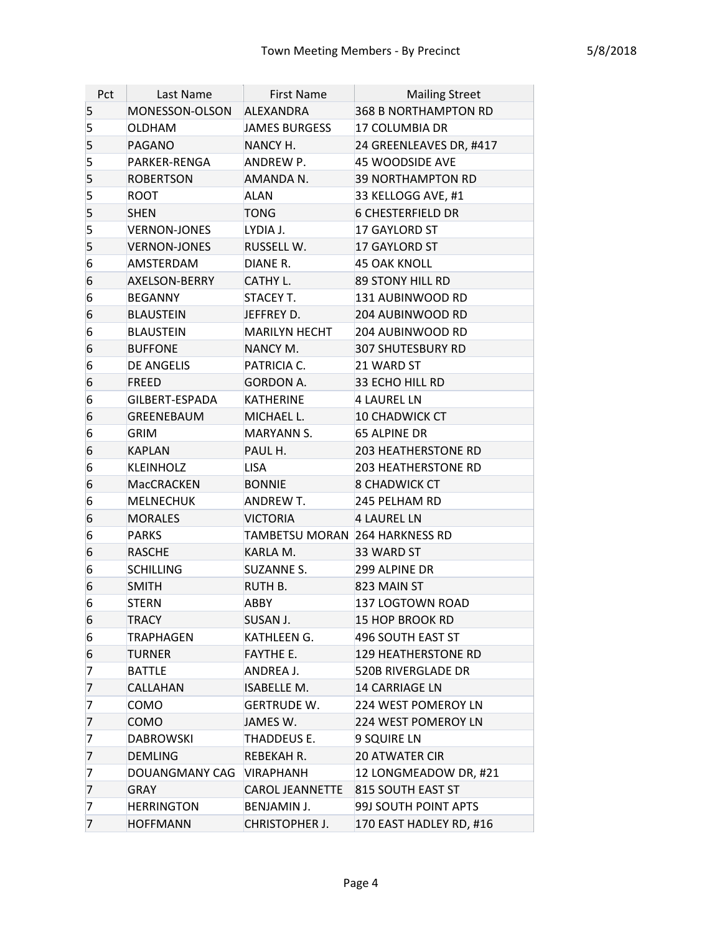| Pct | Last Name           | <b>First Name</b>                | <b>Mailing Street</b>      |
|-----|---------------------|----------------------------------|----------------------------|
| 5   | MONESSON-OLSON      | ALEXANDRA                        | 368 B NORTHAMPTON RD       |
| 5   | <b>OLDHAM</b>       | <b>JAMES BURGESS</b>             | 17 COLUMBIA DR             |
| 5   | PAGANO              | NANCY H.                         | 24 GREENLEAVES DR, #417    |
| 5   | PARKER-RENGA        | ANDREW P.                        | <b>45 WOODSIDE AVE</b>     |
| 5   | <b>ROBERTSON</b>    | AMANDA N.                        | <b>39 NORTHAMPTON RD</b>   |
| 5   | ROOT                | <b>ALAN</b>                      | 33 KELLOGG AVE, #1         |
| 5   | <b>SHEN</b>         | <b>TONG</b>                      | <b>6 CHESTERFIELD DR</b>   |
| 5   | <b>VERNON-JONES</b> | LYDIA J.                         | <b>17 GAYLORD ST</b>       |
| 5   | <b>VERNON-JONES</b> | RUSSELL W.                       | 17 GAYLORD ST              |
| 6   | AMSTERDAM           | DIANE R.                         | <b>45 OAK KNOLL</b>        |
| 6   | AXELSON-BERRY       | <b>CATHY L.</b>                  | <b>89 STONY HILL RD</b>    |
| 6   | <b>BEGANNY</b>      | <b>STACEY T.</b>                 | 131 AUBINWOOD RD           |
| 6   | <b>BLAUSTEIN</b>    | JEFFREY D.                       | 204 AUBINWOOD RD           |
| 6   | <b>BLAUSTEIN</b>    | MARILYN HECHT                    | 204 AUBINWOOD RD           |
| 6   | <b>BUFFONE</b>      | NANCY M.                         | 307 SHUTESBURY RD          |
| 6   | <b>DE ANGELIS</b>   | PATRICIA C.                      | 21 WARD ST                 |
| 6   | <b>FREED</b>        | <b>GORDON A.</b>                 | 33 ECHO HILL RD            |
| 6   | GILBERT-ESPADA      | <b>KATHERINE</b>                 | <b>4 LAUREL LN</b>         |
| 6   | <b>GREENEBAUM</b>   | MICHAEL L.                       | <b>10 CHADWICK CT</b>      |
| 6   | <b>GRIM</b>         | <b>MARYANN S.</b>                | 65 ALPINE DR               |
| 6   | <b>KAPLAN</b>       | PAUL H.                          | <b>203 HEATHERSTONE RD</b> |
| 6   | <b>KLEINHOLZ</b>    | <b>LISA</b>                      | <b>203 HEATHERSTONE RD</b> |
| 6   | <b>MacCRACKEN</b>   | <b>BONNIE</b>                    | <b>8 CHADWICK CT</b>       |
| 6   | <b>MELNECHUK</b>    | <b>ANDREW T.</b>                 | 245 PELHAM RD              |
| 6   | <b>MORALES</b>      | <b>VICTORIA</b>                  | 4 LAUREL LN                |
| 6   | <b>PARKS</b>        | TAMBETSU MORAN   264 HARKNESS RD |                            |
| 6   | <b>RASCHE</b>       | KARLA M.                         | 33 WARD ST                 |
| 6   | <b>SCHILLING</b>    | SUZANNE S.                       | 299 ALPINE DR              |
| 6   | <b>SMITH</b>        | RUTH B.                          | 823 MAIN ST                |
| 6   | <b>STERN</b>        | <b>ABBY</b>                      | 137 LOGTOWN ROAD           |
| 6   | TRACY               | SUSAN J.                         | 15 HOP BROOK RD            |
| 6   | TRAPHAGEN           | <b>KATHLEEN G.</b>               | 496 SOUTH EAST ST          |
| 6   | <b>TURNER</b>       | <b>FAYTHE E.</b>                 | <b>129 HEATHERSTONE RD</b> |
| 7   | <b>BATTLE</b>       | ANDREA J.                        | 520B RIVERGLADE DR         |
| 7   | <b>CALLAHAN</b>     | <b>ISABELLE M.</b>               | <b>14 CARRIAGE LN</b>      |
| 7   | COMO                | GERTRUDE W.                      | 224 WEST POMEROY LN        |
| 7   | COMO                | JAMES W.                         | 224 WEST POMEROY LN        |
| 7   | <b>DABROWSKI</b>    | THADDEUS E.                      | <b>9 SQUIRE LN</b>         |
| 7   | <b>DEMLING</b>      | REBEKAH R.                       | <b>20 ATWATER CIR</b>      |
| 7   | DOUANGMANY CAG      | <b>VIRAPHANH</b>                 | 12 LONGMEADOW DR, #21      |
| 7   | GRAY                | <b>CAROL JEANNETTE</b>           | 815 SOUTH EAST ST          |
| 7   | <b>HERRINGTON</b>   | <b>BENJAMIN J.</b>               | 99J SOUTH POINT APTS       |
| 7   | <b>HOFFMANN</b>     | CHRISTOPHER J.                   | 170 EAST HADLEY RD, #16    |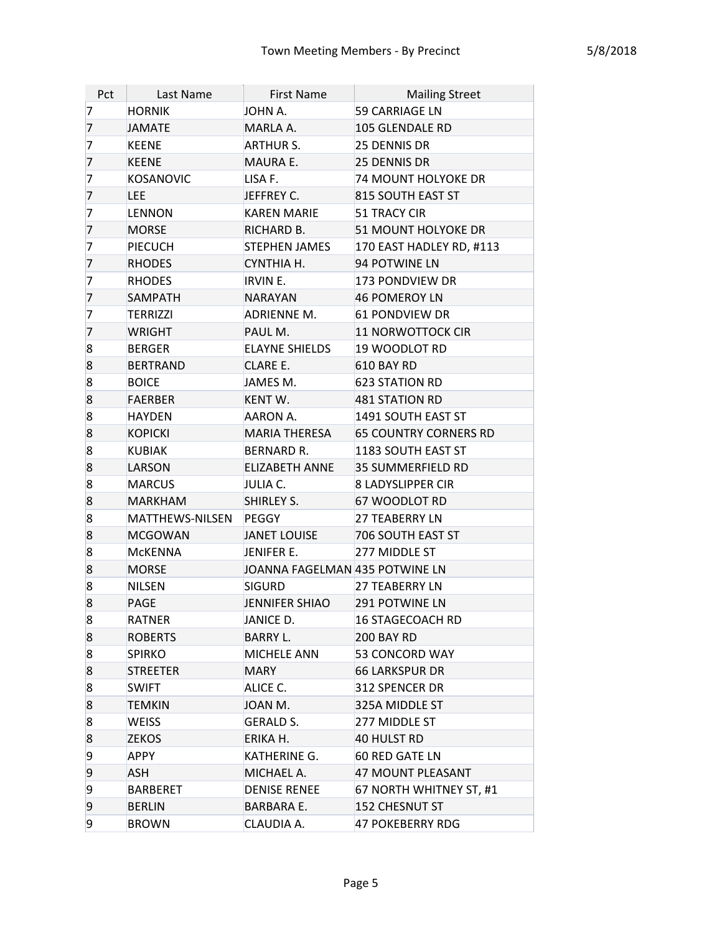| Pct | Last Name        | <b>First Name</b>              | <b>Mailing Street</b>        |
|-----|------------------|--------------------------------|------------------------------|
| 7   | <b>HORNIK</b>    | JOHN A.                        | <b>59 CARRIAGE LN</b>        |
| 7   | <b>JAMATE</b>    | MARLA A.                       | <b>105 GLENDALE RD</b>       |
| 7   | <b>KEENE</b>     | <b>ARTHUR S.</b>               | 25 DENNIS DR                 |
| 7   | <b>KEENE</b>     | MAURA E.                       | 25 DENNIS DR                 |
| 7   | <b>KOSANOVIC</b> | LISA F.                        | <b>74 MOUNT HOLYOKE DR</b>   |
| 7   | <b>LEE</b>       | JEFFREY C.                     | 815 SOUTH EAST ST            |
| 7   | <b>LENNON</b>    | <b>KAREN MARIE</b>             | 51 TRACY CIR                 |
| 7   | <b>MORSE</b>     | RICHARD B.                     | 51 MOUNT HOLYOKE DR          |
| 7   | <b>PIECUCH</b>   | STEPHEN JAMES                  | 170 EAST HADLEY RD, #113     |
| 7   | <b>RHODES</b>    | CYNTHIA H.                     | 94 POTWINE LN                |
| 7   | <b>RHODES</b>    | <b>IRVIN E.</b>                | 173 PONDVIEW DR              |
| 7   | <b>SAMPATH</b>   | <b>NARAYAN</b>                 | <b>46 POMEROY LN</b>         |
| 7   | <b>TERRIZZI</b>  | <b>ADRIENNE M.</b>             | <b>61 PONDVIEW DR</b>        |
| 7   | <b>WRIGHT</b>    | PAUL M.                        | <b>11 NORWOTTOCK CIR</b>     |
| 8   | <b>BERGER</b>    | <b>ELAYNE SHIELDS</b>          | 19 WOODLOT RD                |
| 8   | <b>BERTRAND</b>  | <b>CLARE E.</b>                | <b>610 BAY RD</b>            |
| 8   | <b>BOICE</b>     | JAMES M.                       | <b>623 STATION RD</b>        |
| 8   | <b>FAERBER</b>   | KENT W.                        | 481 STATION RD               |
| 8   | <b>HAYDEN</b>    | AARON A.                       | 1491 SOUTH EAST ST           |
| 8   | <b>KOPICKI</b>   | MARIA THERESA                  | <b>65 COUNTRY CORNERS RD</b> |
| 8   | <b>KUBIAK</b>    | <b>BERNARD R.</b>              | 1183 SOUTH EAST ST           |
| 8   | LARSON           | <b>ELIZABETH ANNE</b>          | <b>35 SUMMERFIELD RD</b>     |
| 8   | <b>MARCUS</b>    | <b>JULIA C.</b>                | <b>8 LADYSLIPPER CIR</b>     |
| 8   | <b>MARKHAM</b>   | SHIRLEY S.                     | 67 WOODLOT RD                |
| 8   | MATTHEWS-NILSEN  | PEGGY                          | <b>27 TEABERRY LN</b>        |
| 8   | <b>MCGOWAN</b>   | <b>JANET LOUISE</b>            | 706 SOUTH EAST ST            |
| 8   | <b>MCKENNA</b>   | JENIFER E.                     | 277 MIDDLE ST                |
| 8   | <b>MORSE</b>     | JOANNA FAGELMAN 435 POTWINE LN |                              |
| 8   | <b>NILSEN</b>    | <b>SIGURD</b>                  | <b>27 TEABERRY LN</b>        |
| 8   | <b>PAGE</b>      | JENNIFER SHIAO                 | <b>291 POTWINE LN</b>        |
| 8   | RATNER           | JANICE D.                      | <b>16 STAGECOACH RD</b>      |
| 8   | <b>ROBERTS</b>   | BARRY L.                       | <b>200 BAY RD</b>            |
| 8   | <b>SPIRKO</b>    | MICHELE ANN                    | 53 CONCORD WAY               |
| 8   | <b>STREETER</b>  | <b>MARY</b>                    | <b>66 LARKSPUR DR</b>        |
| 8   | <b>SWIFT</b>     | ALICE C.                       | 312 SPENCER DR               |
| 8   | TEMKIN           | JOAN M.                        | 325A MIDDLE ST               |
| 8   | WEISS            | <b>GERALD S.</b>               | 277 MIDDLE ST                |
| 8   | <b>ZEKOS</b>     | ERIKA H.                       | 40 HULST RD                  |
| 9   | <b>APPY</b>      | <b>KATHERINE G.</b>            | 60 RED GATE LN               |
| 9   | <b>ASH</b>       | MICHAEL A.                     | <b>47 MOUNT PLEASANT</b>     |
| 9   | <b>BARBERET</b>  | <b>DENISE RENEE</b>            | 67 NORTH WHITNEY ST, #1      |
| 9   | <b>BERLIN</b>    | BARBARA E.                     | 152 CHESNUT ST               |
| 9   | <b>BROWN</b>     | CLAUDIA A.                     | 47 POKEBERRY RDG             |